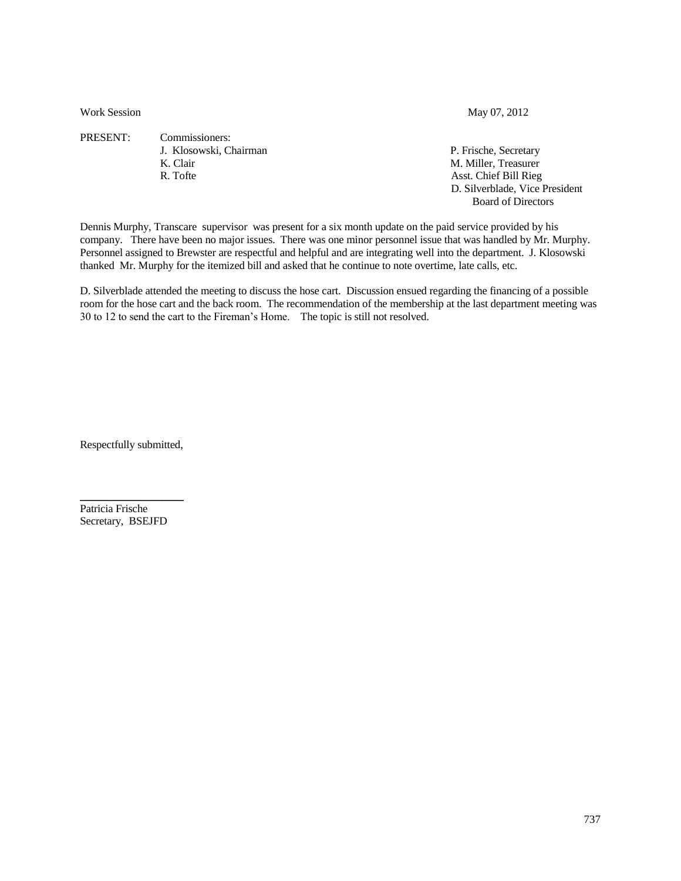Work Session May 07, 2012

PRESENT: Commissioners: J. Klosowski, Chairman P. Frische, Secretary K. Clair M. Miller, Treasurer R. Tofte Asst. Chief Bill Rieg

D. Silverblade, Vice President

Board of Directors

Dennis Murphy, Transcare supervisor was present for a six month update on the paid service provided by his company. There have been no major issues. There was one minor personnel issue that was handled by Mr. Murphy. Personnel assigned to Brewster are respectful and helpful and are integrating well into the department. J. Klosowski thanked Mr. Murphy for the itemized bill and asked that he continue to note overtime, late calls, etc.

D. Silverblade attended the meeting to discuss the hose cart. Discussion ensued regarding the financing of a possible room for the hose cart and the back room. The recommendation of the membership at the last department meeting was 30 to 12 to send the cart to the Fireman's Home. The topic is still not resolved.

Respectfully submitted,

 $\overline{\phantom{a}}$  , and the set of the set of the set of the set of the set of the set of the set of the set of the set of the set of the set of the set of the set of the set of the set of the set of the set of the set of the s

Patricia Frische Secretary, BSEJFD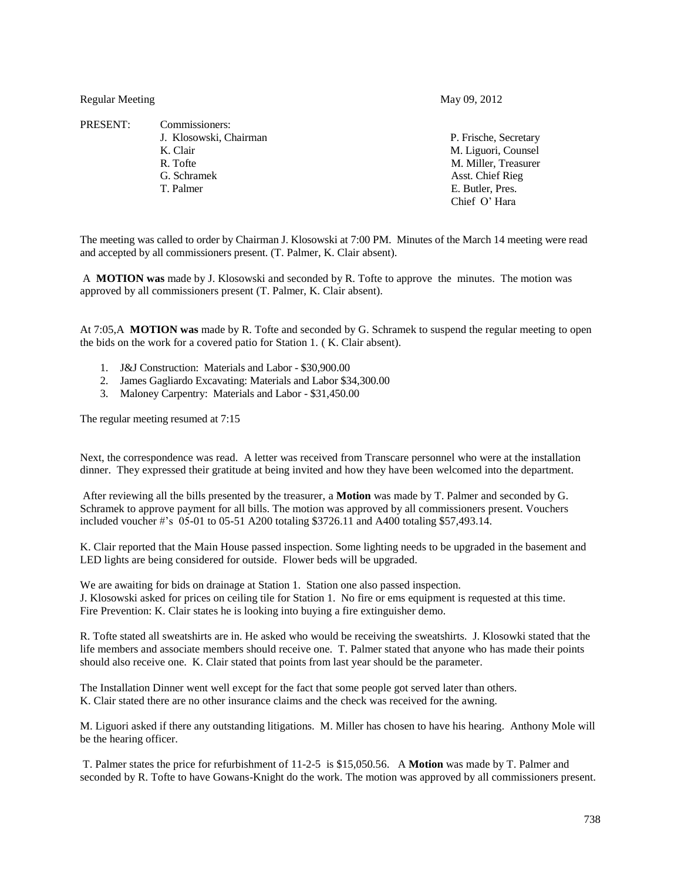Regular Meeting May 09, 2012

PRESENT: Commissioners: J. Klosowski, Chairman P. Frische, Secretary K. Clair M. Liguori, Counsel R. Tofte M. Miller, Treasurer G. Schramek **Asst.** Chief Rieg T. Palmer E. Butler, Pres. Chief O' Hara

The meeting was called to order by Chairman J. Klosowski at 7:00 PM. Minutes of the March 14 meeting were read and accepted by all commissioners present. (T. Palmer, K. Clair absent).

A **MOTION was** made by J. Klosowski and seconded by R. Tofte to approve the minutes. The motion was approved by all commissioners present (T. Palmer, K. Clair absent).

At 7:05,A **MOTION was** made by R. Tofte and seconded by G. Schramek to suspend the regular meeting to open the bids on the work for a covered patio for Station 1. ( K. Clair absent).

- 1. J&J Construction: Materials and Labor \$30,900.00
- 2. James Gagliardo Excavating: Materials and Labor \$34,300.00
- 3. Maloney Carpentry: Materials and Labor \$31,450.00

The regular meeting resumed at 7:15

Next, the correspondence was read. A letter was received from Transcare personnel who were at the installation dinner. They expressed their gratitude at being invited and how they have been welcomed into the department.

After reviewing all the bills presented by the treasurer, a **Motion** was made by T. Palmer and seconded by G. Schramek to approve payment for all bills. The motion was approved by all commissioners present. Vouchers included voucher #'s 05-01 to 05-51 A200 totaling \$3726.11 and A400 totaling \$57,493.14.

K. Clair reported that the Main House passed inspection. Some lighting needs to be upgraded in the basement and LED lights are being considered for outside. Flower beds will be upgraded.

We are awaiting for bids on drainage at Station 1. Station one also passed inspection. J. Klosowski asked for prices on ceiling tile for Station 1. No fire or ems equipment is requested at this time. Fire Prevention: K. Clair states he is looking into buying a fire extinguisher demo.

R. Tofte stated all sweatshirts are in. He asked who would be receiving the sweatshirts. J. Klosowki stated that the life members and associate members should receive one. T. Palmer stated that anyone who has made their points should also receive one. K. Clair stated that points from last year should be the parameter.

The Installation Dinner went well except for the fact that some people got served later than others. K. Clair stated there are no other insurance claims and the check was received for the awning.

M. Liguori asked if there any outstanding litigations. M. Miller has chosen to have his hearing. Anthony Mole will be the hearing officer.

T. Palmer states the price for refurbishment of 11-2-5 is \$15,050.56. A **Motion** was made by T. Palmer and seconded by R. Tofte to have Gowans-Knight do the work. The motion was approved by all commissioners present.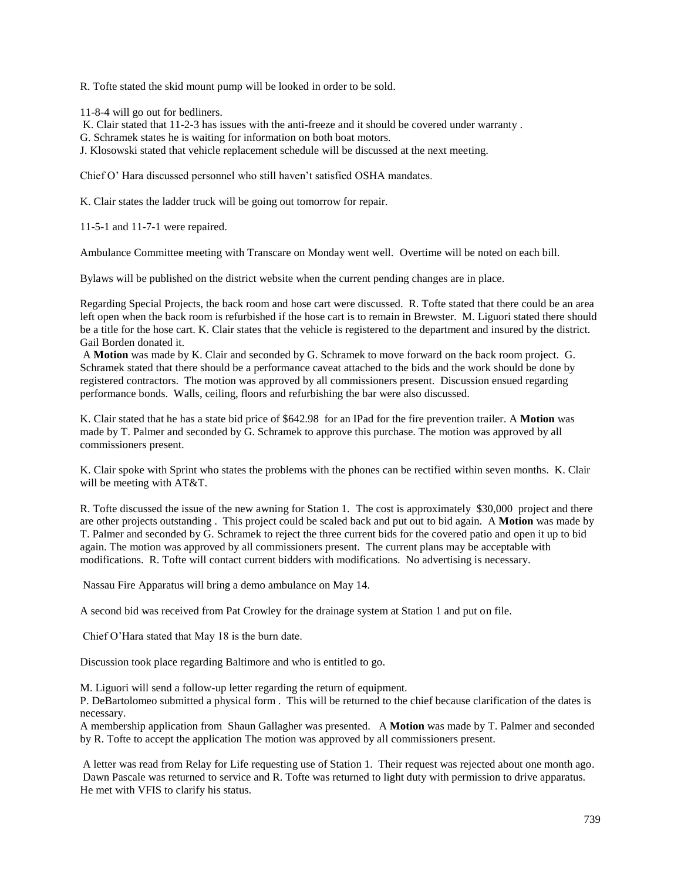R. Tofte stated the skid mount pump will be looked in order to be sold.

11-8-4 will go out for bedliners.

K. Clair stated that 11-2-3 has issues with the anti-freeze and it should be covered under warranty .

G. Schramek states he is waiting for information on both boat motors.

J. Klosowski stated that vehicle replacement schedule will be discussed at the next meeting.

Chief O' Hara discussed personnel who still haven't satisfied OSHA mandates.

K. Clair states the ladder truck will be going out tomorrow for repair.

11-5-1 and 11-7-1 were repaired.

Ambulance Committee meeting with Transcare on Monday went well. Overtime will be noted on each bill.

Bylaws will be published on the district website when the current pending changes are in place.

Regarding Special Projects, the back room and hose cart were discussed. R. Tofte stated that there could be an area left open when the back room is refurbished if the hose cart is to remain in Brewster. M. Liguori stated there should be a title for the hose cart. K. Clair states that the vehicle is registered to the department and insured by the district. Gail Borden donated it.

A **Motion** was made by K. Clair and seconded by G. Schramek to move forward on the back room project. G. Schramek stated that there should be a performance caveat attached to the bids and the work should be done by registered contractors. The motion was approved by all commissioners present. Discussion ensued regarding performance bonds. Walls, ceiling, floors and refurbishing the bar were also discussed.

K. Clair stated that he has a state bid price of \$642.98 for an IPad for the fire prevention trailer. A **Motion** was made by T. Palmer and seconded by G. Schramek to approve this purchase. The motion was approved by all commissioners present.

K. Clair spoke with Sprint who states the problems with the phones can be rectified within seven months. K. Clair will be meeting with AT&T.

R. Tofte discussed the issue of the new awning for Station 1. The cost is approximately \$30,000 project and there are other projects outstanding . This project could be scaled back and put out to bid again. A **Motion** was made by T. Palmer and seconded by G. Schramek to reject the three current bids for the covered patio and open it up to bid again. The motion was approved by all commissioners present. The current plans may be acceptable with modifications. R. Tofte will contact current bidders with modifications. No advertising is necessary.

Nassau Fire Apparatus will bring a demo ambulance on May 14.

A second bid was received from Pat Crowley for the drainage system at Station 1 and put on file.

Chief O'Hara stated that May 18 is the burn date.

Discussion took place regarding Baltimore and who is entitled to go.

M. Liguori will send a follow-up letter regarding the return of equipment.

P. DeBartolomeo submitted a physical form . This will be returned to the chief because clarification of the dates is necessary.

A membership application from Shaun Gallagher was presented. A **Motion** was made by T. Palmer and seconded by R. Tofte to accept the application The motion was approved by all commissioners present.

A letter was read from Relay for Life requesting use of Station 1. Their request was rejected about one month ago. Dawn Pascale was returned to service and R. Tofte was returned to light duty with permission to drive apparatus. He met with VFIS to clarify his status.